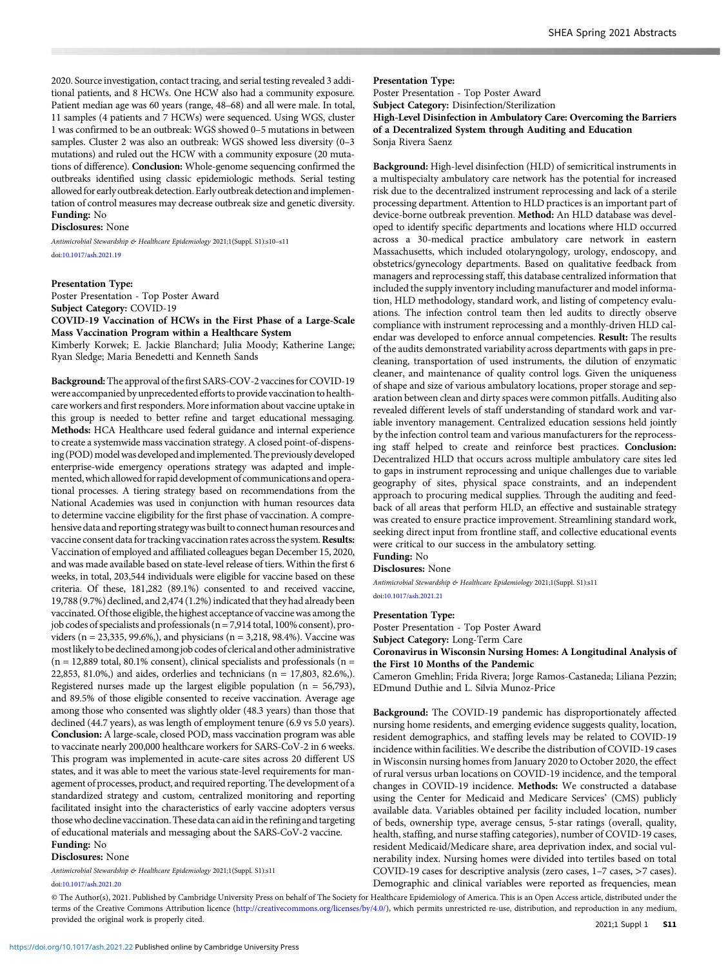2020. Source investigation, contact tracing, and serial testing revealed 3 additional patients, and 8 HCWs. One HCW also had a community exposure. Patient median age was 60 years (range, 48–68) and all were male. In total, 11 samples (4 patients and 7 HCWs) were sequenced. Using WGS, cluster 1 was confirmed to be an outbreak: WGS showed 0–5 mutations in between samples. Cluster 2 was also an outbreak: WGS showed less diversity (0–3 mutations) and ruled out the HCW with a community exposure (20 mutations of difference). Conclusion: Whole-genome sequencing confirmed the outbreaks identified using classic epidemiologic methods. Serial testing allowed for early outbreak detection. Early outbreak detection and implementation of control measures may decrease outbreak size and genetic diversity. Funding: No

### Disclosures: None

Antimicrobial Stewardship & Healthcare Epidemiology 2021;1(Suppl. S1):s10-s11 doi:[10.1017/ash.2021.19](https://doi.org/10.1017/ash.2021.19)

## Presentation Type:

Poster Presentation - Top Poster Award Subject Category: COVID-19 COVID-19 Vaccination of HCWs in the First Phase of a Large-Scale Mass Vaccination Program within a Healthcare System

Kimberly Korwek; E. Jackie Blanchard; Julia Moody; Katherine Lange; Ryan Sledge; Maria Benedetti and Kenneth Sands

Background: The approval of the first SARS-COV-2 vaccines for COVID-19 were accompanied by unprecedented efforts to provide vaccination to healthcare workers and first responders. More information about vaccine uptake in this group is needed to better refine and target educational messaging. Methods: HCA Healthcare used federal guidance and internal experience to create a systemwide mass vaccination strategy. A closed point-of-dispensing (POD) model was developed and implemented. The previously developed enterprise-wide emergency operations strategy was adapted and implemented, which allowed for rapid development of communications and operational processes. A tiering strategy based on recommendations from the National Academies was used in conjunction with human resources data to determine vaccine eligibility for the first phase of vaccination. A comprehensive data and reporting strategywas built to connect human resources and vaccine consent data for tracking vaccination rates across the system. Results: Vaccination of employed and affiliated colleagues began December 15, 2020, and was made available based on state-level release of tiers. Within the first 6 weeks, in total, 203,544 individuals were eligible for vaccine based on these criteria. Of these, 181,282 (89.1%) consented to and received vaccine, 19,788 (9.7%) declined, and 2,474 (1.2%) indicated that they had already been vaccinated. Of those eligible, the highest acceptance of vaccine was among the job codes of specialists and professionals (n = 7,914 total, 100% consent), providers (n = 23,335, 99.6%,), and physicians (n = 3,218, 98.4%). Vaccine was mostlikely to be declined among job codes of clerical and other administrative  $(n = 12,889$  total, 80.1% consent), clinical specialists and professionals  $(n = 12,889)$ 22,853, 81.0%,) and aides, orderlies and technicians (n = 17,803, 82.6%,). Registered nurses made up the largest eligible population ( $n = 56,793$ ), and 89.5% of those eligible consented to receive vaccination. Average age among those who consented was slightly older (48.3 years) than those that declined (44.7 years), as was length of employment tenure (6.9 vs 5.0 years). Conclusion: A large-scale, closed POD, mass vaccination program was able to vaccinate nearly 200,000 healthcare workers for SARS-CoV-2 in 6 weeks. This program was implemented in acute-care sites across 20 different US states, and it was able to meet the various state-level requirements for management of processes, product, and required reporting. The development of a standardized strategy and custom, centralized monitoring and reporting facilitated insight into the characteristics of early vaccine adopters versus those who decline vaccination. These data can aid in the refining and targeting of educational materials and messaging about the SARS-CoV-2 vaccine. Funding: No

Disclosures: None

Antimicrobial Stewardship & Healthcare Epidemiology 2021;1(Suppl. S1):s11 doi:10.1017/ash.2021.20

# Presentation Type:

Poster Presentation - Top Poster Award Subject Category: Disinfection/Sterilization High-Level Disinfection in Ambulatory Care: Overcoming the Barriers of a Decentralized System through Auditing and Education Sonja Rivera Saenz

Background: High-level disinfection (HLD) of semicritical instruments in a multispecialty ambulatory care network has the potential for increased risk due to the decentralized instrument reprocessing and lack of a sterile processing department. Attention to HLD practices is an important part of device-borne outbreak prevention. Method: An HLD database was developed to identify specific departments and locations where HLD occurred across a 30-medical practice ambulatory care network in eastern Massachusetts, which included otolaryngology, urology, endoscopy, and obstetrics/gynecology departments. Based on qualitative feedback from managers and reprocessing staff, this database centralized information that included the supply inventory including manufacturer and model information, HLD methodology, standard work, and listing of competency evaluations. The infection control team then led audits to directly observe compliance with instrument reprocessing and a monthly-driven HLD calendar was developed to enforce annual competencies. Result: The results of the audits demonstrated variability across departments with gaps in precleaning, transportation of used instruments, the dilution of enzymatic cleaner, and maintenance of quality control logs. Given the uniqueness of shape and size of various ambulatory locations, proper storage and separation between clean and dirty spaces were common pitfalls. Auditing also revealed different levels of staff understanding of standard work and variable inventory management. Centralized education sessions held jointly by the infection control team and various manufacturers for the reprocessing staff helped to create and reinforce best practices. Conclusion: Decentralized HLD that occurs across multiple ambulatory care sites led to gaps in instrument reprocessing and unique challenges due to variable geography of sites, physical space constraints, and an independent approach to procuring medical supplies. Through the auditing and feedback of all areas that perform HLD, an effective and sustainable strategy was created to ensure practice improvement. Streamlining standard work, seeking direct input from frontline staff, and collective educational events were critical to our success in the ambulatory setting.

# Funding: No

Disclosures: None

Antimicrobial Stewardship & Healthcare Epidemiology 2021;1(Suppl. S1):s11 doi[:10.1017/ash.2021.21](https://doi.org/10.1017/ash.2021.21)

#### Presentation Type:

Poster Presentation - Top Poster Award Subject Category: Long-Term Care Coronavirus in Wisconsin Nursing Homes: A Longitudinal Analysis of the First 10 Months of the Pandemic

Cameron Gmehlin; Frida Rivera; Jorge Ramos-Castaneda; Liliana Pezzin; EDmund Duthie and L. Silvia Munoz-Price

Background: The COVID-19 pandemic has disproportionately affected nursing home residents, and emerging evidence suggests quality, location, resident demographics, and staffing levels may be related to COVID-19 incidence within facilities. We describe the distribution of COVID-19 cases in Wisconsin nursing homes from January 2020 to October 2020, the effect of rural versus urban locations on COVID-19 incidence, and the temporal changes in COVID-19 incidence. Methods: We constructed a database using the Center for Medicaid and Medicare Services' (CMS) publicly available data. Variables obtained per facility included location, number of beds, ownership type, average census, 5-star ratings (overall, quality, health, staffing, and nurse staffing categories), number of COVID-19 cases, resident Medicaid/Medicare share, area deprivation index, and social vulnerability index. Nursing homes were divided into tertiles based on total COVID-19 cases for descriptive analysis (zero cases, 1–7 cases, >7 cases). Demographic and clinical variables were reported as frequencies, mean

© [The Author\(s\), 202](https://doi.org/10.1017/ash.2021.20)1. Published by Cambridge University Press on behalf of The Society for Healthcare Epidemiology of America. This is an Open Access article, distributed under the terms of the Creative Commons Attribution licence (http://creativecommons.org/licenses/by/4.0/), which permits unrestricted re-use, distribution, and reproduction in any medium, provided the original work is properly cited.